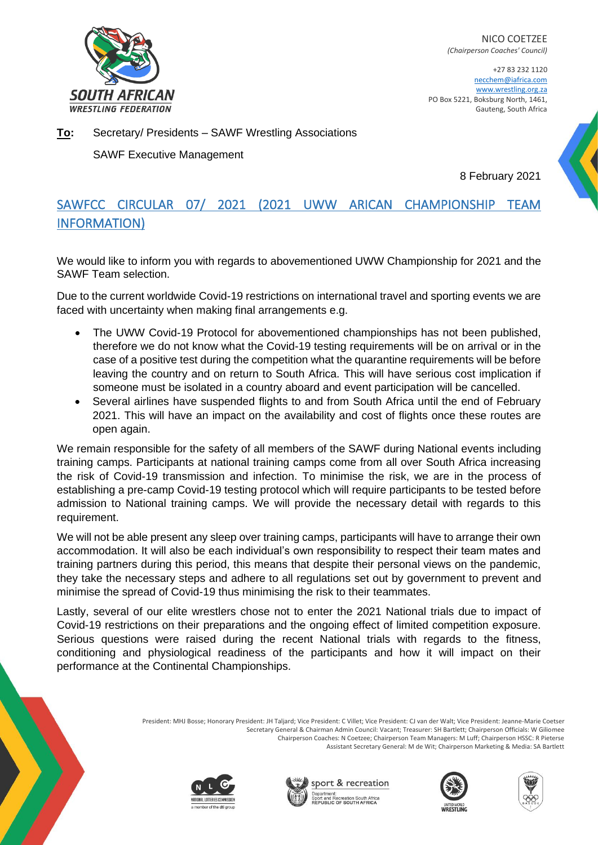

NICO COETZEE *(Chairperson Coaches' Council)*

+27 83 232 1120 necchem@iafrica.com www.wrestling.org.za PO Box 5221, Boksburg North, 1461, Gauteng, South Africa

**To:** Secretary/ Presidents – SAWF Wrestling Associations

SAWF Executive Management

8 February 2021

## SAWFCC CIRCULAR 07/ 2021 (2021 UWW ARICAN CHAMPIONSHIP TEAM INFORMATION)

We would like to inform you with regards to abovementioned UWW Championship for 2021 and the SAWF Team selection.

Due to the current worldwide Covid-19 restrictions on international travel and sporting events we are faced with uncertainty when making final arrangements e.g.

- The UWW Covid-19 Protocol for abovementioned championships has not been published, therefore we do not know what the Covid-19 testing requirements will be on arrival or in the case of a positive test during the competition what the quarantine requirements will be before leaving the country and on return to South Africa. This will have serious cost implication if someone must be isolated in a country aboard and event participation will be cancelled.
- Several airlines have suspended flights to and from South Africa until the end of February 2021. This will have an impact on the availability and cost of flights once these routes are open again.

We remain responsible for the safety of all members of the SAWF during National events including training camps. Participants at national training camps come from all over South Africa increasing the risk of Covid-19 transmission and infection. To minimise the risk, we are in the process of establishing a pre-camp Covid-19 testing protocol which will require participants to be tested before admission to National training camps. We will provide the necessary detail with regards to this requirement.

We will not be able present any sleep over training camps, participants will have to arrange their own accommodation. It will also be each individual's own responsibility to respect their team mates and training partners during this period, this means that despite their personal views on the pandemic, they take the necessary steps and adhere to all regulations set out by government to prevent and minimise the spread of Covid-19 thus minimising the risk to their teammates.

Lastly, several of our elite wrestlers chose not to enter the 2021 National trials due to impact of Covid-19 restrictions on their preparations and the ongoing effect of limited competition exposure. Serious questions were raised during the recent National trials with regards to the fitness, conditioning and physiological readiness of the participants and how it will impact on their performance at the Continental Championships.

> President: MHJ Bosse; Honorary President: JH Taljard; Vice President: C Villet; Vice President: CJ van der Walt; Vice President: Jeanne-Marie Coetser Secretary General & Chairman Admin Council: Vacant; Treasurer: SH Bartlett; Chairperson Officials: W Giliomee Chairperson Coaches: N Coetzee; Chairperson Team Managers: M Luff; Chairperson HSSC: R Pieterse Assistant Secretary General: M de Wit; Chairperson Marketing & Media: SA Bartlett